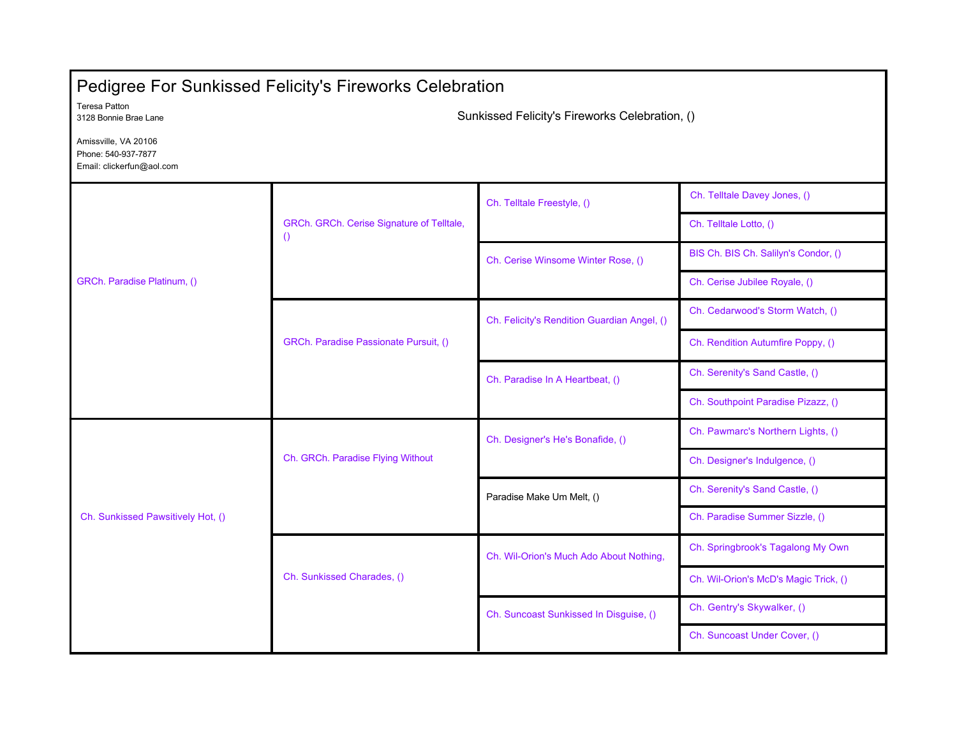| <b>Pedigree For Sunkissed Felicity's Fireworks Celebration</b>           |                                                               |                                             |                                       |  |  |
|--------------------------------------------------------------------------|---------------------------------------------------------------|---------------------------------------------|---------------------------------------|--|--|
| <b>Teresa Patton</b><br>3128 Bonnie Brae Lane                            | Sunkissed Felicity's Fireworks Celebration, ()                |                                             |                                       |  |  |
| Amissville, VA 20106<br>Phone: 540-937-7877<br>Email: clickerfun@aol.com |                                                               |                                             |                                       |  |  |
| GRCh. Paradise Platinum, ()                                              | GRCh. GRCh. Cerise Signature of Telltale,<br>$\left( \right)$ | Ch. Telltale Freestyle, ()                  | Ch. Telltale Davey Jones, ()          |  |  |
|                                                                          |                                                               |                                             | Ch. Telltale Lotto, ()                |  |  |
|                                                                          |                                                               | Ch. Cerise Winsome Winter Rose, ()          | BIS Ch. BIS Ch. Salilyn's Condor, ()  |  |  |
|                                                                          |                                                               |                                             | Ch. Cerise Jubilee Royale, ()         |  |  |
|                                                                          | GRCh. Paradise Passionate Pursuit, ()                         | Ch. Felicity's Rendition Guardian Angel, () | Ch. Cedarwood's Storm Watch, ()       |  |  |
|                                                                          |                                                               |                                             | Ch. Rendition Autumfire Poppy, ()     |  |  |
|                                                                          |                                                               | Ch. Paradise In A Heartbeat, ()             | Ch. Serenity's Sand Castle, ()        |  |  |
|                                                                          |                                                               |                                             | Ch. Southpoint Paradise Pizazz, ()    |  |  |
| Ch. Sunkissed Pawsitively Hot, ()                                        | Ch. GRCh. Paradise Flying Without                             | Ch. Designer's He's Bonafide, ()            | Ch. Pawmarc's Northern Lights, ()     |  |  |
|                                                                          |                                                               |                                             | Ch. Designer's Indulgence, ()         |  |  |
|                                                                          |                                                               | Paradise Make Um Melt, ()                   | Ch. Serenity's Sand Castle, ()        |  |  |
|                                                                          |                                                               |                                             | Ch. Paradise Summer Sizzle, ()        |  |  |
|                                                                          | Ch. Sunkissed Charades, ()                                    | Ch. Wil-Orion's Much Ado About Nothing,     | Ch. Springbrook's Tagalong My Own     |  |  |
|                                                                          |                                                               |                                             | Ch. Wil-Orion's McD's Magic Trick, () |  |  |
|                                                                          |                                                               | Ch. Suncoast Sunkissed In Disguise, ()      | Ch. Gentry's Skywalker, ()            |  |  |
|                                                                          |                                                               |                                             | Ch. Suncoast Under Cover, ()          |  |  |